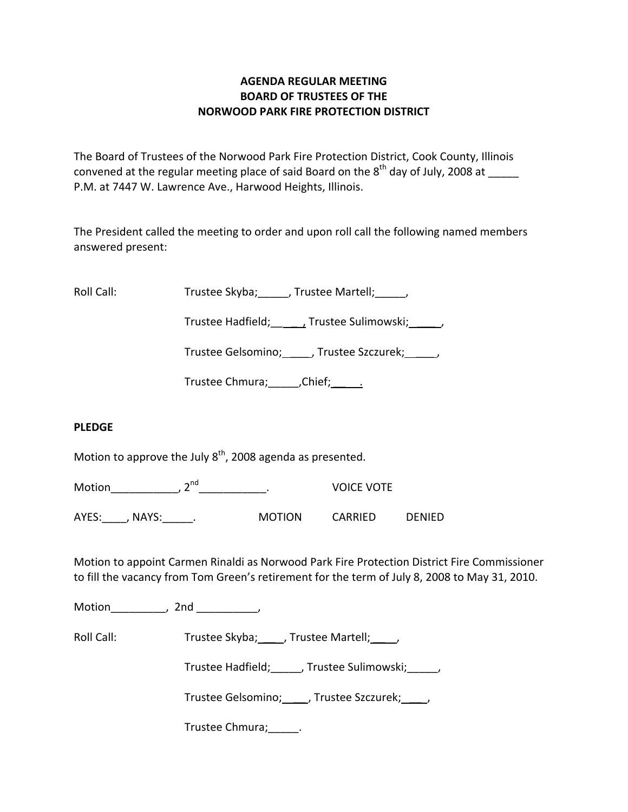# **AGENDA REGULAR MEETING BOARD OF TRUSTEES OF THE NORWOOD PARK FIRE PROTECTION DISTRICT**

The Board of Trustees of the Norwood Park Fire Protection District, Cook County, Illinois convened at the regular meeting place of said Board on the  $8^{\text{th}}$  day of July, 2008 at \_\_\_\_\_ P.M. at 7447 W. Lawrence Ave., Harwood Heights, Illinois.

The President called the meeting to order and upon roll call the following named members answered present:

Roll Call: Trustee Skyba; \_\_\_\_, Trustee Martell; \_\_\_\_\_,

Trustee Hadfield; Trustee Sulimowski; 3.1.

Trustee Gelsomino; \_\_\_\_\_, Trustee Szczurek; \_\_\_\_\_,

Trustee Chmura; \_\_\_\_\_\_, Chief; \_\_\_\_\_\_.

### **PLEDGE**

Motion to approve the July  $8<sup>th</sup>$ , 2008 agenda as presented.

Motion\_\_\_\_\_\_\_\_\_\_\_\_\_, 2<sup>nd</sup>\_\_\_\_\_\_\_\_\_\_\_\_\_\_\_. VOICE VOTE

AYES: NAYS: NAYS: AND MOTION CARRIED DENIED

Motion to appoint Carmen Rinaldi as Norwood Park Fire Protection District Fire Commissioner to fill the vacancy from Tom Green's retirement for the term of July 8, 2008 to May 31, 2010.

Motion the motion of the motion of the motion of the motion of the motion of the motion of the motion of the m<br>Second motion of the motion of the motion of the motion of the motion of the motion of the motion of the motio<br>

Roll Call: Trustee Skyba; \_\_\_, Trustee Martell; \_\_\_\_,

Trustee Hadfield; frustee Sulimowski; frustee Hadfield;

Trustee Gelsomino; \_\_\_\_, Trustee Szczurek; \_\_\_\_,

Trustee Chmura;\_\_\_\_\_.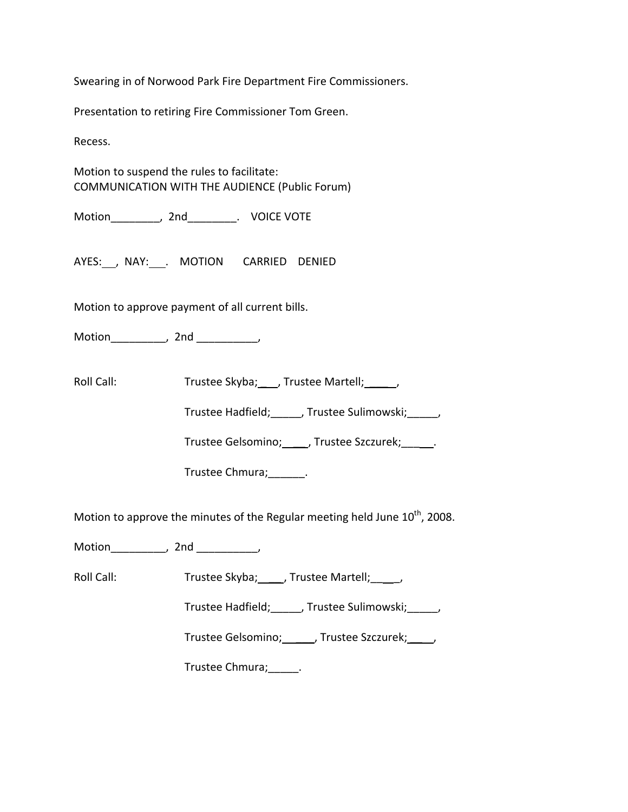Swearing in of Norwood Park Fire Department Fire Commissioners.

Presentation to retiring Fire Commissioner Tom Green.

Recess.

Motion to suspend the rules to facilitate: COMMUNICATION WITH THE AUDIENCE (Public Forum)

Motion\_\_\_\_\_\_\_\_, 2nd\_\_\_\_\_\_\_\_. VOICE VOTE

AYES: NAY: NAY: MOTION CARRIED DENIED

Motion to approve payment of all current bills.

Motion\_\_\_\_\_\_\_\_\_\_, 2nd \_\_\_\_\_\_\_\_\_\_\_,

Roll Call: Trustee Skyba; \_\_\_, Trustee Martell; \_\_\_\_\_,

Trustee Hadfield; frustee Sulimowski; frustee Hadfield;

Trustee Gelsomino; \_\_\_\_\_, Trustee Szczurek; \_\_\_\_\_.

Trustee Chmura;\_\_\_\_\_\_.

Motion to approve the minutes of the Regular meeting held June  $10^{th}$ , 2008.

Motion\_\_\_\_\_\_\_\_\_\_, 2nd \_\_\_\_\_\_\_\_\_\_,

Roll Call: Trustee Skyba; \_\_\_\_, Trustee Martell; \_\_\_\_,

Trustee Hadfield;\_\_\_\_\_, Trustee Sulimowski;\_\_\_\_\_,

Trustee Gelsomino; \_\_\_\_\_, Trustee Szczurek; \_\_\_\_,

Trustee Chmura;\_\_\_\_\_.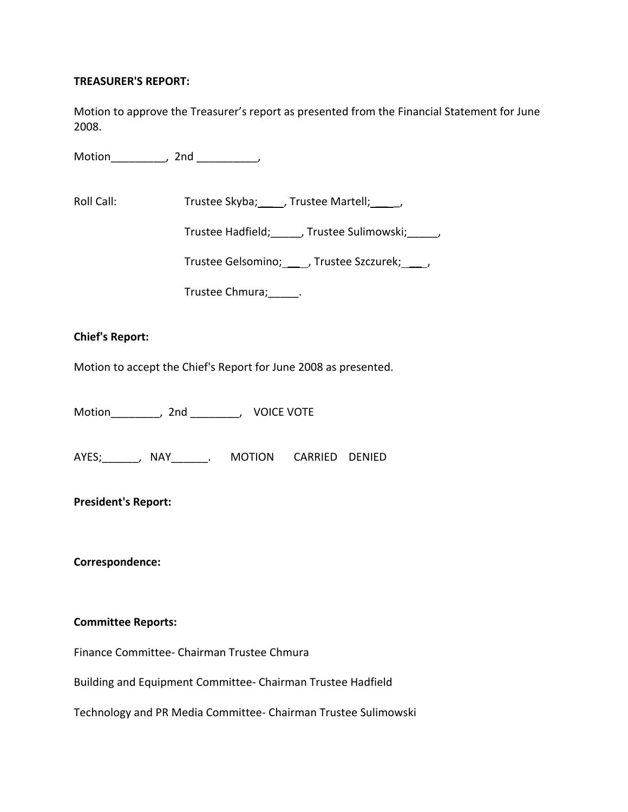### **TREASURER'S REPORT:**

Motion to approve the Treasurer's report as presented from the Financial Statement for June 2008.

Motion\_\_\_\_\_\_\_\_\_, 2nd \_\_\_\_\_\_\_\_\_\_,

Roll Call: Trustee Skyba; \_\_\_\_, Trustee Martell; \_\_\_\_\_,

Trustee Hadfield; frustee Sulimowski; frustee Sulimowski;

Trustee Gelsomino; \_\_\_\_, Trustee Szczurek; \_\_\_\_,

Trustee Chmura;\_\_\_\_\_.

### **Chief's Report:**

Motion to accept the Chief's Report for June 2008 as presented.

Motion \_\_\_\_\_\_\_, 2nd \_\_\_\_\_\_, VOICE VOTE

AYES;\_\_\_\_\_\_, NAY\_\_\_\_\_\_. MOTION CARRIED DENIED

# **President's Report:**

**Correspondence:**

### **Committee Reports:**

Finance Committee‐ Chairman Trustee Chmura

Building and Equipment Committee‐ Chairman Trustee Hadfield

Technology and PR Media Committee‐ Chairman Trustee Sulimowski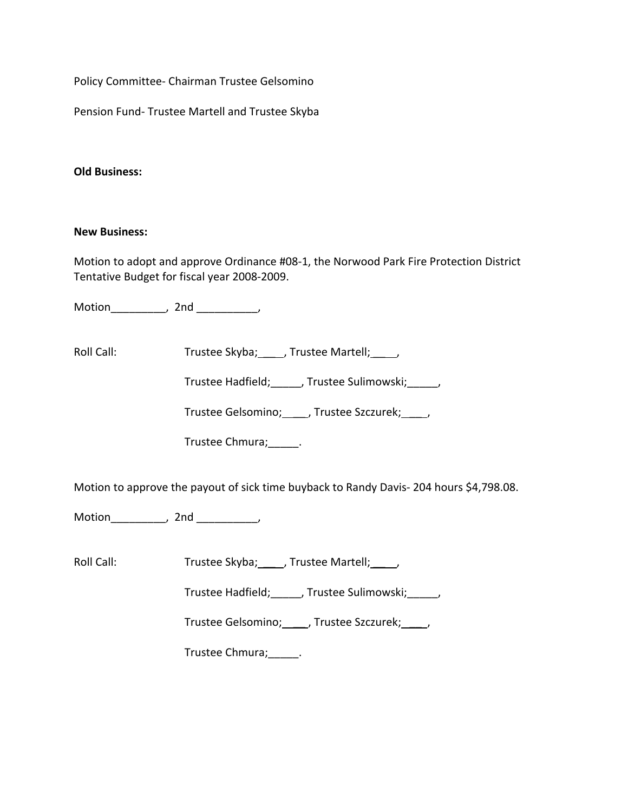Policy Committee‐ Chairman Trustee Gelsomino

Pension Fund‐ Trustee Martell and Trustee Skyba

### **Old Business:**

#### **New Business:**

Motion to adopt and approve Ordinance #08‐1, the Norwood Park Fire Protection District Tentative Budget for fiscal year 2008‐2009.

Motion\_\_\_\_\_\_\_\_\_, 2nd \_\_\_\_\_\_\_\_\_\_,

Roll Call: Trustee Skyba; \_\_\_\_, Trustee Martell; \_\_\_\_,

Trustee Hadfield;\_\_\_\_\_, Trustee Sulimowski;\_\_\_\_\_,

Trustee Gelsomino; \_\_\_\_, Trustee Szczurek; \_\_\_\_,

Trustee Chmura;\_\_\_\_\_.

Motion to approve the payout of sick time buyback to Randy Davis‐ 204 hours \$4,798.08.

Motion\_\_\_\_\_\_\_\_\_\_, 2nd \_\_\_\_\_\_\_\_\_\_\_,

Roll Call: Trustee Skyba; \_\_\_\_, Trustee Martell; \_\_\_\_,

Trustee Hadfield; frustee Sulimowski; frustee Sulimowski;

Trustee Gelsomino; \_\_\_\_, Trustee Szczurek; \_\_\_\_,

Trustee Chmura;\_\_\_\_\_.